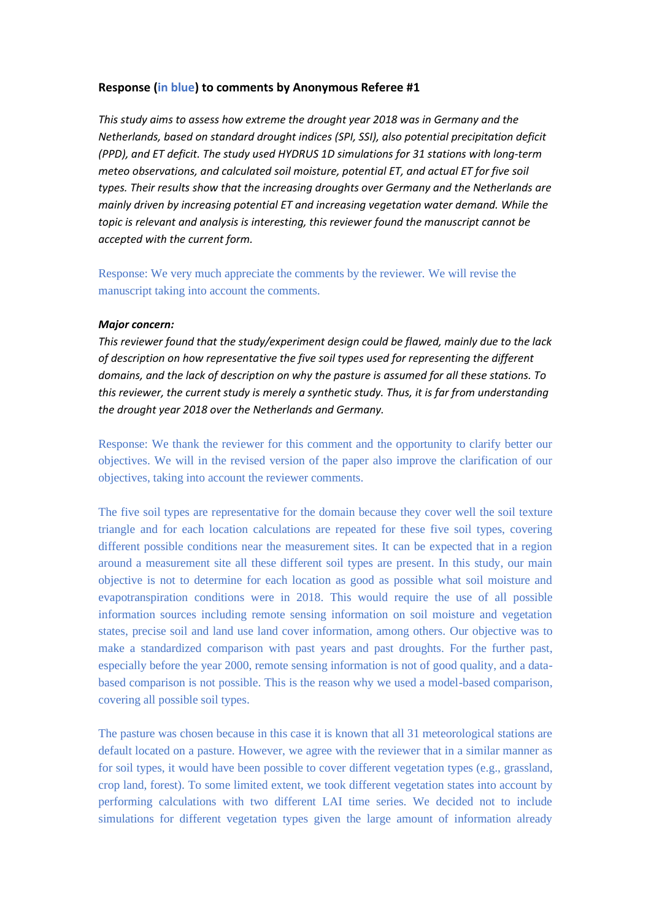## **Response (in blue) to comments by Anonymous Referee #1**

*This study aims to assess how extreme the drought year 2018 was in Germany and the Netherlands, based on standard drought indices (SPI, SSI), also potential precipitation deficit (PPD), and ET deficit. The study used HYDRUS 1D simulations for 31 stations with long-term meteo observations, and calculated soil moisture, potential ET, and actual ET for five soil types. Their results show that the increasing droughts over Germany and the Netherlands are mainly driven by increasing potential ET and increasing vegetation water demand. While the topic is relevant and analysis is interesting, this reviewer found the manuscript cannot be accepted with the current form.*

Response: We very much appreciate the comments by the reviewer. We will revise the manuscript taking into account the comments.

## *Major concern:*

*This reviewer found that the study/experiment design could be flawed, mainly due to the lack of description on how representative the five soil types used for representing the different domains, and the lack of description on why the pasture is assumed for all these stations. To this reviewer, the current study is merely a synthetic study. Thus, it is far from understanding the drought year 2018 over the Netherlands and Germany.*

Response: We thank the reviewer for this comment and the opportunity to clarify better our objectives. We will in the revised version of the paper also improve the clarification of our objectives, taking into account the reviewer comments.

The five soil types are representative for the domain because they cover well the soil texture triangle and for each location calculations are repeated for these five soil types, covering different possible conditions near the measurement sites. It can be expected that in a region around a measurement site all these different soil types are present. In this study, our main objective is not to determine for each location as good as possible what soil moisture and evapotranspiration conditions were in 2018. This would require the use of all possible information sources including remote sensing information on soil moisture and vegetation states, precise soil and land use land cover information, among others. Our objective was to make a standardized comparison with past years and past droughts. For the further past, especially before the year 2000, remote sensing information is not of good quality, and a databased comparison is not possible. This is the reason why we used a model-based comparison, covering all possible soil types.

The pasture was chosen because in this case it is known that all 31 meteorological stations are default located on a pasture. However, we agree with the reviewer that in a similar manner as for soil types, it would have been possible to cover different vegetation types (e.g., grassland, crop land, forest). To some limited extent, we took different vegetation states into account by performing calculations with two different LAI time series. We decided not to include simulations for different vegetation types given the large amount of information already